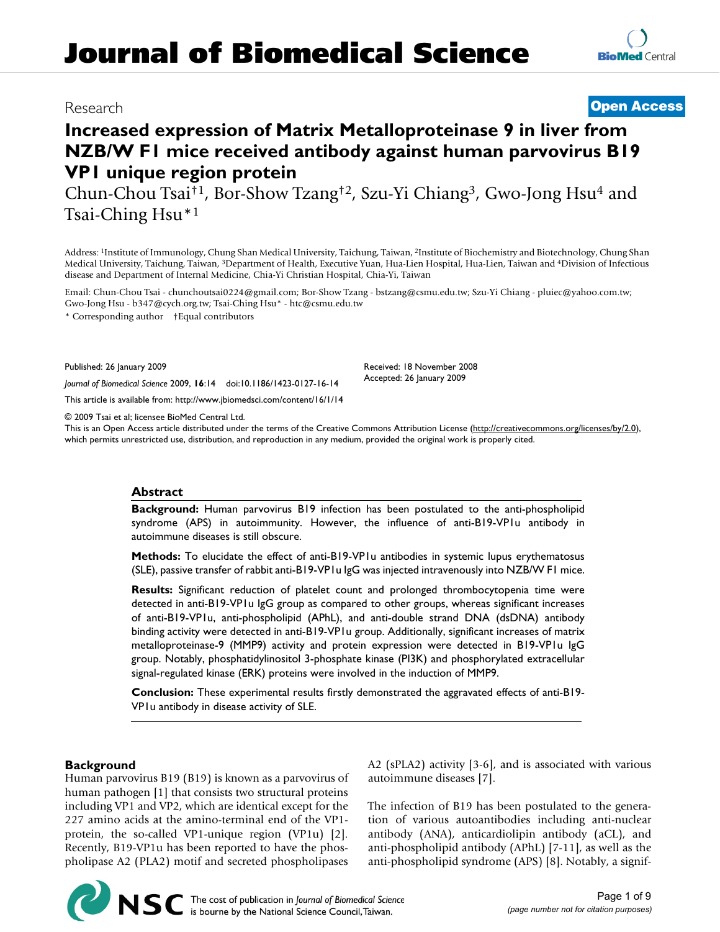# Research **[Open Access](http://www.biomedcentral.com/info/about/charter/)**

# **Increased expression of Matrix Metalloproteinase 9 in liver from NZB/W F1 mice received antibody against human parvovirus B19 VP1 unique region protein**

Chun-Chou Tsai†1, Bor-Show Tzang†2, Szu-Yi Chiang3, Gwo-Jong Hsu4 and Tsai-Ching Hsu\*1

Address: 1Institute of Immunology, Chung Shan Medical University, Taichung, Taiwan, 2Institute of Biochemistry and Biotechnology, Chung Shan Medical University, Taichung, Taiwan, 3Department of Health, Executive Yuan, Hua-Lien Hospital, Hua-Lien, Taiwan and 4Division of Infectious disease and Department of Internal Medicine, Chia-Yi Christian Hospital, Chia-Yi, Taiwan

Email: Chun-Chou Tsai - chunchoutsai0224@gmail.com; Bor-Show Tzang - bstzang@csmu.edu.tw; Szu-Yi Chiang - pluiec@yahoo.com.tw; Gwo-Jong Hsu - b347@cych.org.tw; Tsai-Ching Hsu\* - htc@csmu.edu.tw

\* Corresponding author †Equal contributors

Published: 26 January 2009

*Journal of Biomedical Science* 2009, **16**:14 doi:10.1186/1423-0127-16-14

[This article is available from: http://www.jbiomedsci.com/content/16/1/14](http://www.jbiomedsci.com/content/16/1/14)

© 2009 Tsai et al; licensee BioMed Central Ltd.

This is an Open Access article distributed under the terms of the Creative Commons Attribution License [\(http://creativecommons.org/licenses/by/2.0\)](http://creativecommons.org/licenses/by/2.0), which permits unrestricted use, distribution, and reproduction in any medium, provided the original work is properly cited.

Received: 18 November 2008 Accepted: 26 January 2009

### **Abstract**

**Background:** Human parvovirus B19 infection has been postulated to the anti-phospholipid syndrome (APS) in autoimmunity. However, the influence of anti-B19-VP1u antibody in autoimmune diseases is still obscure.

**Methods:** To elucidate the effect of anti-B19-VP1u antibodies in systemic lupus erythematosus (SLE), passive transfer of rabbit anti-B19-VP1u IgG was injected intravenously into NZB/W F1 mice.

**Results:** Significant reduction of platelet count and prolonged thrombocytopenia time were detected in anti-B19-VP1u IgG group as compared to other groups, whereas significant increases of anti-B19-VP1u, anti-phospholipid (APhL), and anti-double strand DNA (dsDNA) antibody binding activity were detected in anti-B19-VP1u group. Additionally, significant increases of matrix metalloproteinase-9 (MMP9) activity and protein expression were detected in B19-VP1u IgG group. Notably, phosphatidylinositol 3-phosphate kinase (PI3K) and phosphorylated extracellular signal-regulated kinase (ERK) proteins were involved in the induction of MMP9.

**Conclusion:** These experimental results firstly demonstrated the aggravated effects of anti-B19- VP1u antibody in disease activity of SLE.

# **Background**

Human parvovirus B19 (B19) is known as a parvovirus of human pathogen [1] that consists two structural proteins including VP1 and VP2, which are identical except for the 227 amino acids at the amino-terminal end of the VP1 protein, the so-called VP1-unique region (VP1u) [2]. Recently, B19-VP1u has been reported to have the phospholipase A2 (PLA2) motif and secreted phospholipases A2 (sPLA2) activity [3-6], and is associated with various autoimmune diseases [7].

The infection of B19 has been postulated to the generation of various autoantibodies including anti-nuclear antibody (ANA), anticardiolipin antibody (aCL), and anti-phospholipid antibody (APhL) [7-11], as well as the anti-phospholipid syndrome (APS) [8]. Notably, a signif-

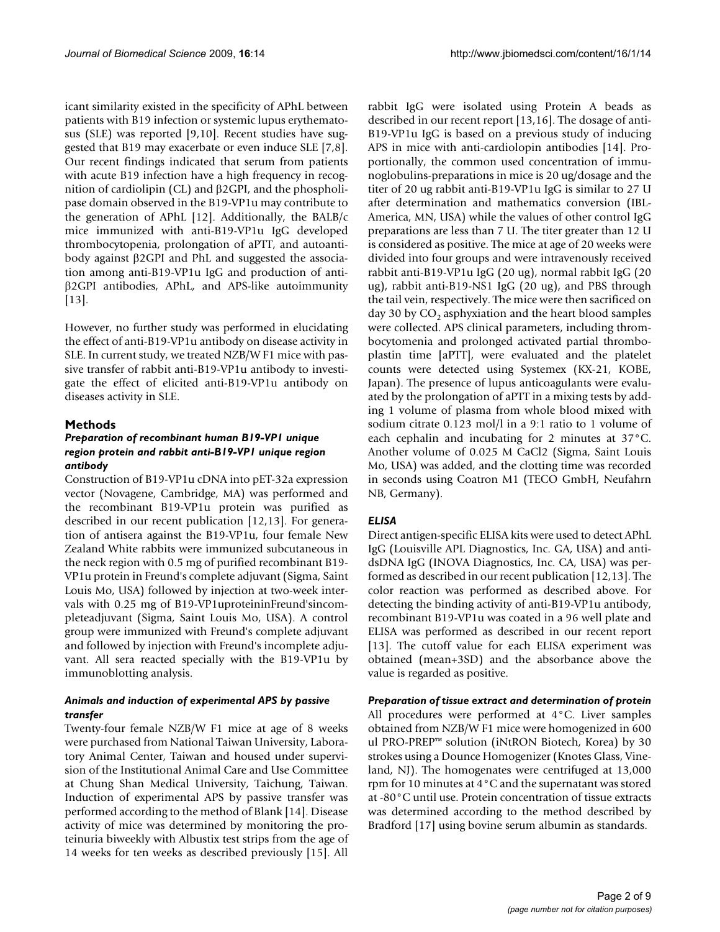icant similarity existed in the specificity of APhL between patients with B19 infection or systemic lupus erythematosus (SLE) was reported [9,10]. Recent studies have suggested that B19 may exacerbate or even induce SLE [7,8]. Our recent findings indicated that serum from patients with acute B19 infection have a high frequency in recognition of cardiolipin (CL) and  $\beta$ 2GPI, and the phospholipase domain observed in the B19-VP1u may contribute to the generation of APhL [12]. Additionally, the BALB/c mice immunized with anti-B19-VP1u IgG developed thrombocytopenia, prolongation of aPTT, and autoantibody against  $\beta$ 2GPI and PhL and suggested the association among anti-B19-VP1u IgG and production of anti- 2GPI antibodies, APhL, and APS-like autoimmunity [13].

However, no further study was performed in elucidating the effect of anti-B19-VP1u antibody on disease activity in SLE. In current study, we treated NZB/W F1 mice with passive transfer of rabbit anti-B19-VP1u antibody to investigate the effect of elicited anti-B19-VP1u antibody on diseases activity in SLE.

#### **Methods**

# *Preparation of recombinant human B19-VP1 unique region protein and rabbit anti-B19-VP1 unique region antibody*

Construction of B19-VP1u cDNA into pET-32a expression vector (Novagene, Cambridge, MA) was performed and the recombinant B19-VP1u protein was purified as described in our recent publication [12,13]. For generation of antisera against the B19-VP1u, four female New Zealand White rabbits were immunized subcutaneous in the neck region with 0.5 mg of purified recombinant B19- VP1u protein in Freund's complete adjuvant (Sigma, Saint Louis Mo, USA) followed by injection at two-week intervals with 0.25 mg of B19-VP1uproteininFreund'sincompleteadjuvant (Sigma, Saint Louis Mo, USA). A control group were immunized with Freund's complete adjuvant and followed by injection with Freund's incomplete adjuvant. All sera reacted specially with the B19-VP1u by immunoblotting analysis.

# *Animals and induction of experimental APS by passive transfer*

Twenty-four female NZB/W F1 mice at age of 8 weeks were purchased from National Taiwan University, Laboratory Animal Center, Taiwan and housed under supervision of the Institutional Animal Care and Use Committee at Chung Shan Medical University, Taichung, Taiwan. Induction of experimental APS by passive transfer was performed according to the method of Blank [14]. Disease activity of mice was determined by monitoring the proteinuria biweekly with Albustix test strips from the age of 14 weeks for ten weeks as described previously [15]. All

rabbit IgG were isolated using Protein A beads as described in our recent report [13,16]. The dosage of anti-B19-VP1u IgG is based on a previous study of inducing APS in mice with anti-cardiolopin antibodies [14]. Proportionally, the common used concentration of immunoglobulins-preparations in mice is 20 ug/dosage and the titer of 20 ug rabbit anti-B19-VP1u IgG is similar to 27 U after determination and mathematics conversion (IBL-America, MN, USA) while the values of other control IgG preparations are less than 7 U. The titer greater than 12 U is considered as positive. The mice at age of 20 weeks were divided into four groups and were intravenously received rabbit anti-B19-VP1u IgG (20 ug), normal rabbit IgG (20 ug), rabbit anti-B19-NS1 IgG (20 ug), and PBS through the tail vein, respectively. The mice were then sacrificed on day 30 by  $CO<sub>2</sub>$  asphyxiation and the heart blood samples were collected. APS clinical parameters, including thrombocytomenia and prolonged activated partial thromboplastin time [aPTT], were evaluated and the platelet counts were detected using Systemex (KX-21, KOBE, Japan). The presence of lupus anticoagulants were evaluated by the prolongation of aPTT in a mixing tests by adding 1 volume of plasma from whole blood mixed with sodium citrate 0.123 mol/l in a 9:1 ratio to 1 volume of each cephalin and incubating for 2 minutes at 37°C. Another volume of 0.025 M CaCl2 (Sigma, Saint Louis Mo, USA) was added, and the clotting time was recorded in seconds using Coatron M1 (TECO GmbH, Neufahrn NB, Germany).

# *ELISA*

Direct antigen-specific ELISA kits were used to detect APhL IgG (Louisville APL Diagnostics, Inc. GA, USA) and antidsDNA IgG (INOVA Diagnostics, Inc. CA, USA) was performed as described in our recent publication [12,13]. The color reaction was performed as described above. For detecting the binding activity of anti-B19-VP1u antibody, recombinant B19-VP1u was coated in a 96 well plate and ELISA was performed as described in our recent report [13]. The cutoff value for each ELISA experiment was obtained (mean+3SD) and the absorbance above the value is regarded as positive.

*Preparation of tissue extract and determination of protein* All procedures were performed at 4°C. Liver samples obtained from NZB/W F1 mice were homogenized in 600 ul PRO-PREP™ solution (iNtRON Biotech, Korea) by 30 strokes using a Dounce Homogenizer (Knotes Glass, Vineland, NJ). The homogenates were centrifuged at 13,000 rpm for 10 minutes at 4°C and the supernatant was stored at -80°C until use. Protein concentration of tissue extracts was determined according to the method described by Bradford [17] using bovine serum albumin as standards.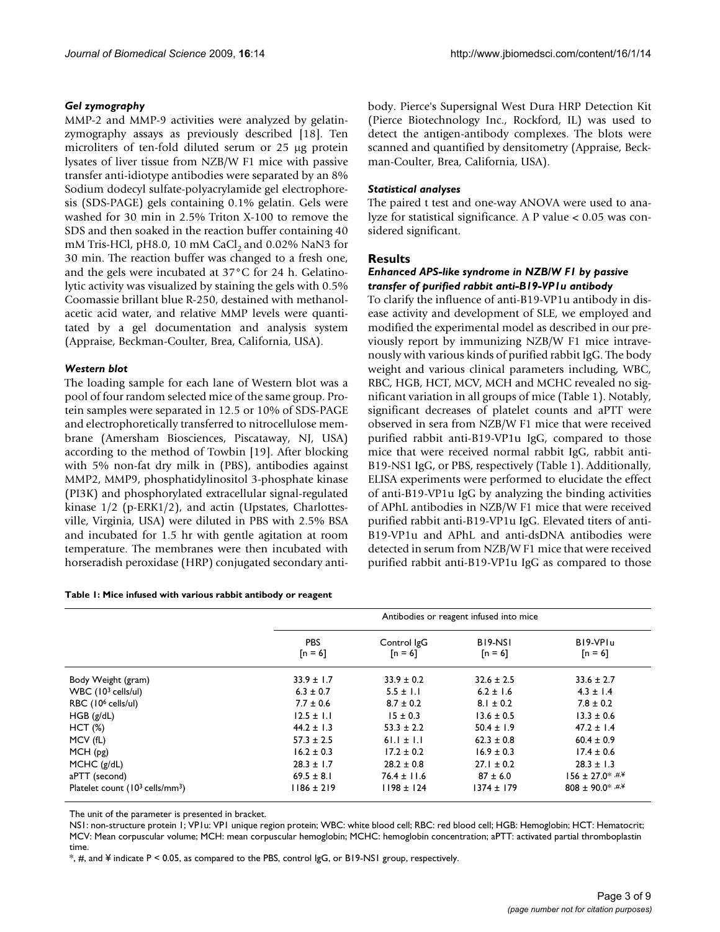#### *Gel zymography*

MMP-2 and MMP-9 activities were analyzed by gelatinzymography assays as previously described [18]. Ten microliters of ten-fold diluted serum or 25 µg protein lysates of liver tissue from NZB/W F1 mice with passive transfer anti-idiotype antibodies were separated by an 8% Sodium dodecyl sulfate-polyacrylamide gel electrophoresis (SDS-PAGE) gels containing 0.1% gelatin. Gels were washed for 30 min in 2.5% Triton X-100 to remove the SDS and then soaked in the reaction buffer containing 40 mM Tris-HCl, pH8.0, 10 mM CaCl, and 0.02% NaN3 for 30 min. The reaction buffer was changed to a fresh one, and the gels were incubated at 37°C for 24 h. Gelatinolytic activity was visualized by staining the gels with 0.5% Coomassie brillant blue R-250, destained with methanolacetic acid water, and relative MMP levels were quantitated by a gel documentation and analysis system (Appraise, Beckman-Coulter, Brea, California, USA).

### *Western blot*

The loading sample for each lane of Western blot was a pool of four random selected mice of the same group. Protein samples were separated in 12.5 or 10% of SDS-PAGE and electrophoretically transferred to nitrocellulose membrane (Amersham Biosciences, Piscataway, NJ, USA) according to the method of Towbin [19]. After blocking with 5% non-fat dry milk in (PBS), antibodies against MMP2, MMP9, phosphatidylinositol 3-phosphate kinase (PI3K) and phosphorylated extracellular signal-regulated kinase 1/2 (p-ERK1/2), and actin (Upstates, Charlottesville, Virginia, USA) were diluted in PBS with 2.5% BSA and incubated for 1.5 hr with gentle agitation at room temperature. The membranes were then incubated with horseradish peroxidase (HRP) conjugated secondary anti-

#### **Table 1: Mice infused with various rabbit antibody or reagent**

body. Pierce's Supersignal West Dura HRP Detection Kit (Pierce Biotechnology Inc., Rockford, IL) was used to detect the antigen-antibody complexes. The blots were scanned and quantified by densitometry (Appraise, Beckman-Coulter, Brea, California, USA).

#### *Statistical analyses*

The paired t test and one-way ANOVA were used to analyze for statistical significance. A P value < 0.05 was considered significant.

#### **Results**

# *Enhanced APS-like syndrome in NZB/W F1 by passive transfer of purified rabbit anti-B19-VP1u antibody*

To clarify the influence of anti-B19-VP1u antibody in disease activity and development of SLE, we employed and modified the experimental model as described in our previously report by immunizing NZB/W F1 mice intravenously with various kinds of purified rabbit IgG. The body weight and various clinical parameters including, WBC, RBC, HGB, HCT, MCV, MCH and MCHC revealed no significant variation in all groups of mice (Table 1). Notably, significant decreases of platelet counts and aPTT were observed in sera from NZB/W F1 mice that were received purified rabbit anti-B19-VP1u IgG, compared to those mice that were received normal rabbit IgG, rabbit anti-B19-NS1 IgG, or PBS, respectively (Table 1). Additionally, ELISA experiments were performed to elucidate the effect of anti-B19-VP1u IgG by analyzing the binding activities of APhL antibodies in NZB/W F1 mice that were received purified rabbit anti-B19-VP1u IgG. Elevated titers of anti-B19-VP1u and APhL and anti-dsDNA antibodies were detected in serum from NZB/W F1 mice that were received purified rabbit anti-B19-VP1u IgG as compared to those

|                                            | Antibodies or reagent infused into mice |                          |                                               |                       |
|--------------------------------------------|-----------------------------------------|--------------------------|-----------------------------------------------|-----------------------|
|                                            | <b>PBS</b><br>$[n = 6]$                 | Control IgG<br>$[n = 6]$ | B <sub>19</sub> -NS <sub>1</sub><br>$[n = 6]$ | B19-VPIu<br>$[n = 6]$ |
| Body Weight (gram)                         | $33.9 \pm 1.7$                          | $33.9 \pm 0.2$           | $32.6 \pm 2.5$                                | $33.6 \pm 2.7$        |
| WBC $(103$ cells/ul)                       | $6.3 \pm 0.7$                           | $5.5 \pm 1.1$            | $6.2 \pm 1.6$                                 | $4.3 \pm 1.4$         |
| RBC (10 <sup>6</sup> cells/ul)             | $7.7 \pm 0.6$                           | $8.7 \pm 0.2$            | $8.1 \pm 0.2$                                 | $7.8 \pm 0.2$         |
| HGB(g/dL)                                  | $12.5 \pm 1.1$                          | $15 \pm 0.3$             | $13.6 \pm 0.5$                                | $13.3 \pm 0.6$        |
| HCT(%)                                     | $44.2 \pm 1.3$                          | $53.3 \pm 2.2$           | $50.4 \pm 1.9$                                | $47.2 \pm 1.4$        |
| MCV (fL)                                   | $57.3 \pm 2.5$                          | $61.1 \pm 1.1$           | $62.3 \pm 0.8$                                | $60.4 \pm 0.9$        |
| MCH(pg)                                    | $16.2 \pm 0.3$                          | $17.2 \pm 0.2$           | $16.9 \pm 0.3$                                | $17.4 \pm 0.6$        |
| MCHC $(g/dL)$                              | $28.3 \pm 1.7$                          | $28.2 \pm 0.8$           | $27.1 \pm 0.2$                                | $28.3 \pm 1.3$        |
| aPTT (second)                              | $69.5 \pm 8.1$                          | $76.4 \pm 11.6$          | $87 \pm 6.0$                                  | $156 \pm 27.0$ * #¥   |
| Platelet count $(10^3 \text{ cells/mm}^3)$ | $1186 \pm 219$                          | $1198 \pm 124$           | $1374 \pm 179$                                | $808 \pm 90.0$ * #.*  |

The unit of the parameter is presented in bracket.

NS1: non-structure protein 1; VP1u: VP1 unique region protein; WBC: white blood cell; RBC: red blood cell; HGB: Hemoglobin; HCT: Hematocrit; MCV: Mean corpuscular volume; MCH: mean corpuscular hemoglobin; MCHC: hemoglobin concentration; aPTT: activated partial thromboplastin time.

\*, #, and ¥ indicate P < 0.05, as compared to the PBS, control IgG, or B19-NS1 group, respectively.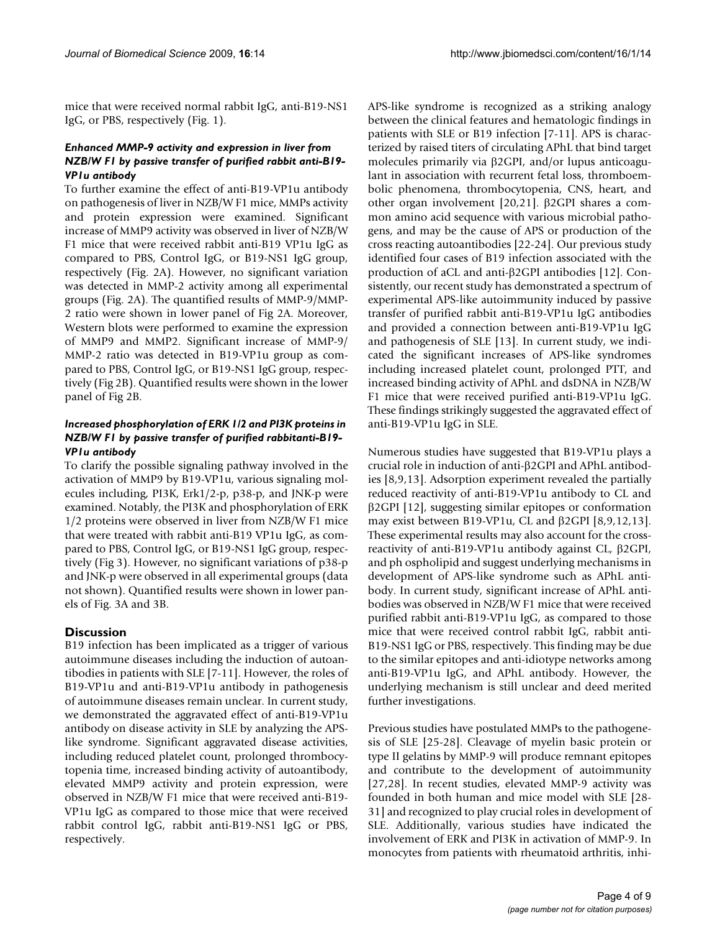mice that were received normal rabbit IgG, anti-B19-NS1 IgG, or PBS, respectively (Fig. 1).

# *Enhanced MMP-9 activity and expression in liver from NZB/W F1 by passive transfer of purified rabbit anti-B19- VP1u antibody*

To further examine the effect of anti-B19-VP1u antibody on pathogenesis of liver in NZB/W F1 mice, MMPs activity and protein expression were examined. Significant increase of MMP9 activity was observed in liver of NZB/W F1 mice that were received rabbit anti-B19 VP1u IgG as compared to PBS, Control IgG, or B19-NS1 IgG group, respectively (Fig. 2A). However, no significant variation was detected in MMP-2 activity among all experimental groups (Fig. 2A). The quantified results of MMP-9/MMP-2 ratio were shown in lower panel of Fig 2A. Moreover, Western blots were performed to examine the expression of MMP9 and MMP2. Significant increase of MMP-9/ MMP-2 ratio was detected in B19-VP1u group as compared to PBS, Control IgG, or B19-NS1 IgG group, respectively (Fig 2B). Quantified results were shown in the lower panel of Fig 2B.

# *Increased phosphorylation of ERK 1/2 and PI3K proteins in NZB/W F1 by passive transfer of purified rabbitanti-B19- VP1u antibody*

To clarify the possible signaling pathway involved in the activation of MMP9 by B19-VP1u, various signaling molecules including, PI3K, Erk1/2-p, p38-p, and JNK-p were examined. Notably, the PI3K and phosphorylation of ERK 1/2 proteins were observed in liver from NZB/W F1 mice that were treated with rabbit anti-B19 VP1u IgG, as compared to PBS, Control IgG, or B19-NS1 IgG group, respectively (Fig 3). However, no significant variations of p38-p and JNK-p were observed in all experimental groups (data not shown). Quantified results were shown in lower panels of Fig. 3A and 3B.

# **Discussion**

B19 infection has been implicated as a trigger of various autoimmune diseases including the induction of autoantibodies in patients with SLE [7-11]. However, the roles of B19-VP1u and anti-B19-VP1u antibody in pathogenesis of autoimmune diseases remain unclear. In current study, we demonstrated the aggravated effect of anti-B19-VP1u antibody on disease activity in SLE by analyzing the APSlike syndrome. Significant aggravated disease activities, including reduced platelet count, prolonged thrombocytopenia time, increased binding activity of autoantibody, elevated MMP9 activity and protein expression, were observed in NZB/W F1 mice that were received anti-B19- VP1u IgG as compared to those mice that were received rabbit control IgG, rabbit anti-B19-NS1 IgG or PBS, respectively.

APS-like syndrome is recognized as a striking analogy between the clinical features and hematologic findings in patients with SLE or B19 infection [7-11]. APS is characterized by raised titers of circulating APhL that bind target molecules primarily via  $\beta$ 2GPI, and/or lupus anticoagulant in association with recurrent fetal loss, thromboembolic phenomena, thrombocytopenia, CNS, heart, and other organ involvement  $[20,21]$ .  $\beta$ 2GPI shares a common amino acid sequence with various microbial pathogens, and may be the cause of APS or production of the cross reacting autoantibodies [22-24]. Our previous study identified four cases of B19 infection associated with the production of aCL and anti- $\beta$ 2GPI antibodies [12]. Consistently, our recent study has demonstrated a spectrum of experimental APS-like autoimmunity induced by passive transfer of purified rabbit anti-B19-VP1u IgG antibodies and provided a connection between anti-B19-VP1u IgG and pathogenesis of SLE [13]. In current study, we indicated the significant increases of APS-like syndromes including increased platelet count, prolonged PTT, and increased binding activity of APhL and dsDNA in NZB/W F1 mice that were received purified anti-B19-VP1u IgG. These findings strikingly suggested the aggravated effect of anti-B19-VP1u IgG in SLE.

Numerous studies have suggested that B19-VP1u plays a crucial role in induction of anti- $\beta$ 2GPI and APhL antibodies [8,9,13]. Adsorption experiment revealed the partially reduced reactivity of anti-B19-VP1u antibody to CL and  $\beta$ 2GPI [12], suggesting similar epitopes or conformation may exist between B19-VP1u, CL and  $\beta$ 2GPI [8,9,12,13]. These experimental results may also account for the crossreactivity of anti-B19-VP1u antibody against CL,  $\beta$ 2GPI, and ph ospholipid and suggest underlying mechanisms in development of APS-like syndrome such as APhL antibody. In current study, significant increase of APhL antibodies was observed in NZB/W F1 mice that were received purified rabbit anti-B19-VP1u IgG, as compared to those mice that were received control rabbit IgG, rabbit anti-B19-NS1 IgG or PBS, respectively. This finding may be due to the similar epitopes and anti-idiotype networks among anti-B19-VP1u IgG, and APhL antibody. However, the underlying mechanism is still unclear and deed merited further investigations.

Previous studies have postulated MMPs to the pathogenesis of SLE [25-28]. Cleavage of myelin basic protein or type II gelatins by MMP-9 will produce remnant epitopes and contribute to the development of autoimmunity [27,28]. In recent studies, elevated MMP-9 activity was founded in both human and mice model with SLE [28- 31] and recognized to play crucial roles in development of SLE. Additionally, various studies have indicated the involvement of ERK and PI3K in activation of MMP-9. In monocytes from patients with rheumatoid arthritis, inhi-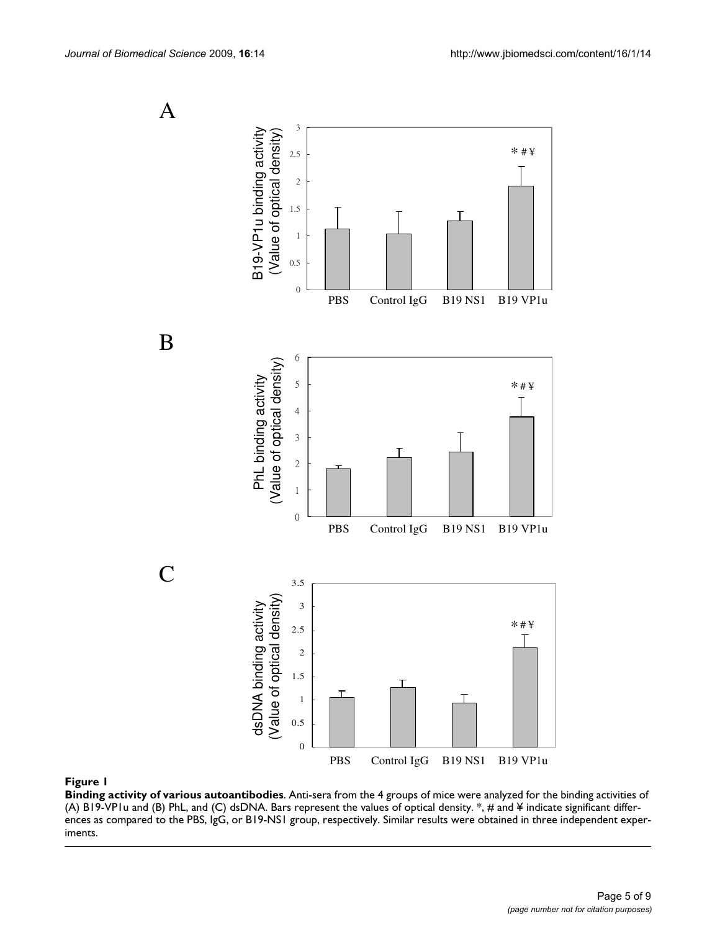

#### Figure 1

**Binding activity of various autoantibodies**. Anti-sera from the 4 groups of mice were analyzed for the binding activities of (A) B19-VP1u and (B) PhL, and (C) dsDNA. Bars represent the values of optical density.  $*$ ,  $\#$  and  $\Psi$  indicate significant differences as compared to the PBS, IgG, or B19-NS1 group, respectively. Similar results were obtained in three independent experiments.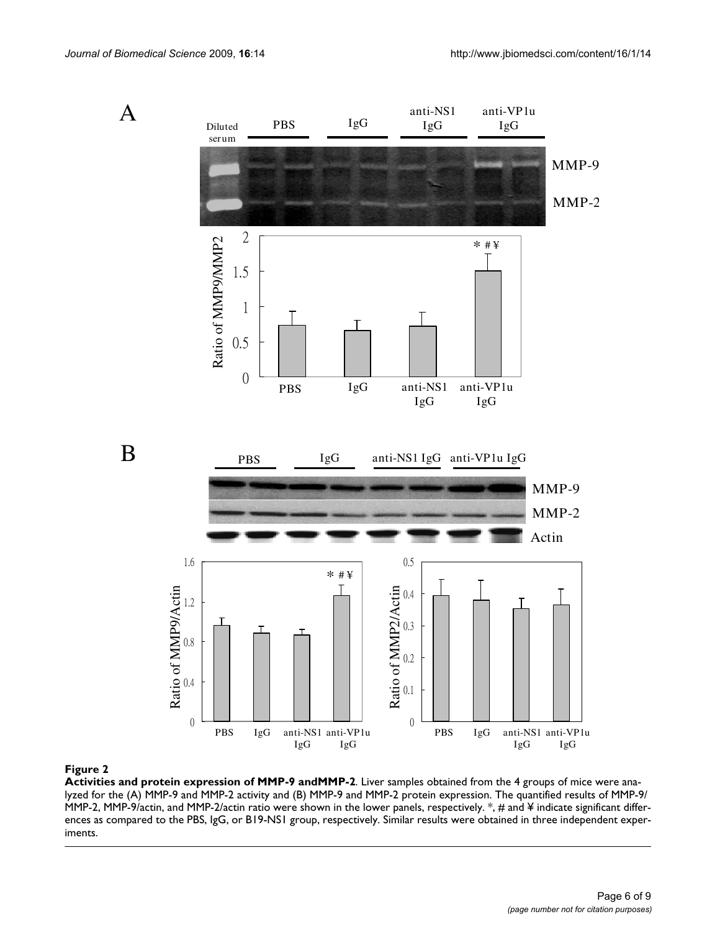

#### Figure 2

**Activities and protein expression of MMP-9 andMMP-2**. Liver samples obtained from the 4 groups of mice were analyzed for the (A) MMP-9 and MMP-2 activity and (B) MMP-9 and MMP-2 protein expression. The quantified results of MMP-9/ MMP-2, MMP-9/actin, and MMP-2/actin ratio were shown in the lower panels, respectively.  $*$ , # and ¥ indicate significant differences as compared to the PBS, IgG, or B19-NS1 group, respectively. Similar results were obtained in three independent experiments.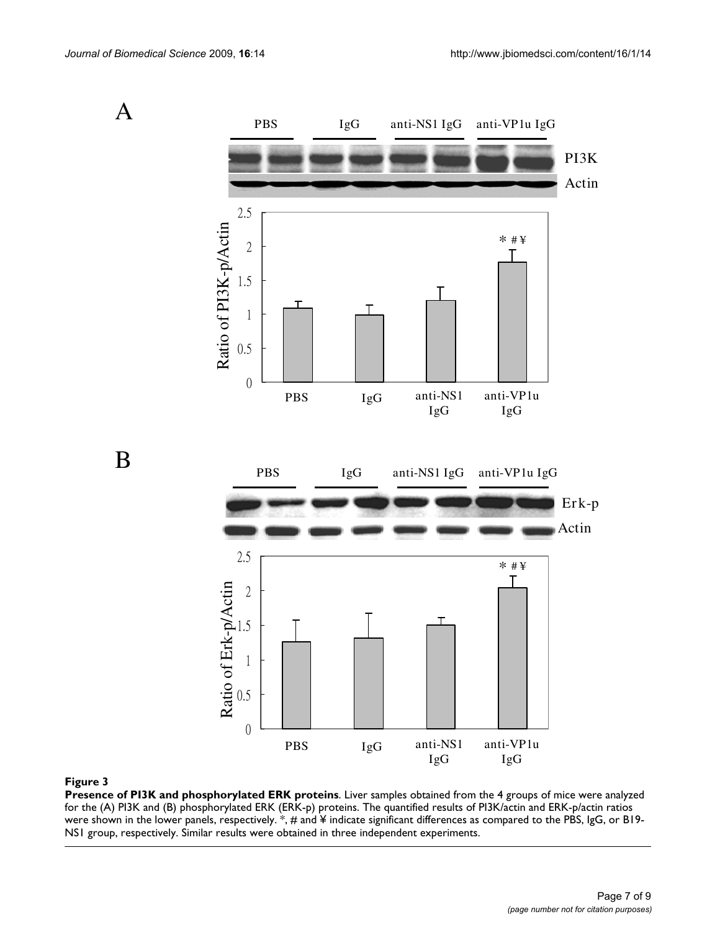

#### **Figure 3**

**Presence of PI3K and phosphorylated ERK proteins**. Liver samples obtained from the 4 groups of mice were analyzed for the (A) PI3K and (B) phosphorylated ERK (ERK-p) proteins. The quantified results of PI3K/actin and ERK-p/actin ratios were shown in the lower panels, respectively.  $*$ , # and ¥ indicate significant differences as compared to the PBS, IgG, or B19-NS1 group, respectively. Similar results were obtained in three independent experiments.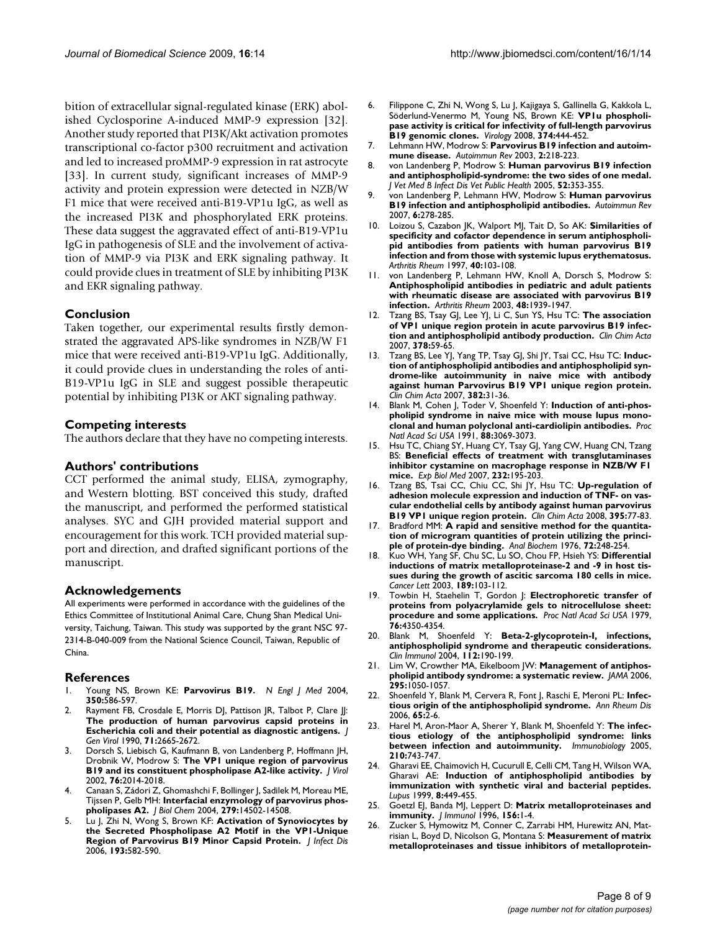bition of extracellular signal-regulated kinase (ERK) abolished Cyclosporine A-induced MMP-9 expression [32]. Another study reported that PI3K/Akt activation promotes transcriptional co-factor p300 recruitment and activation and led to increased proMMP-9 expression in rat astrocyte [33]. In current study, significant increases of MMP-9 activity and protein expression were detected in NZB/W F1 mice that were received anti-B19-VP1u IgG, as well as the increased PI3K and phosphorylated ERK proteins. These data suggest the aggravated effect of anti-B19-VP1u IgG in pathogenesis of SLE and the involvement of activation of MMP-9 via PI3K and ERK signaling pathway. It could provide clues in treatment of SLE by inhibiting PI3K and EKR signaling pathway.

# **Conclusion**

Taken together, our experimental results firstly demonstrated the aggravated APS-like syndromes in NZB/W F1 mice that were received anti-B19-VP1u IgG. Additionally, it could provide clues in understanding the roles of anti-B19-VP1u IgG in SLE and suggest possible therapeutic potential by inhibiting PI3K or AKT signaling pathway.

### **Competing interests**

The authors declare that they have no competing interests.

#### **Authors' contributions**

CCT performed the animal study, ELISA, zymography, and Western blotting. BST conceived this study, drafted the manuscript, and performed the performed statistical analyses. SYC and GJH provided material support and encouragement for this work. TCH provided material support and direction, and drafted significant portions of the manuscript.

### **Acknowledgements**

All experiments were performed in accordance with the guidelines of the Ethics Committee of Institutional Animal Care, Chung Shan Medical University, Taichung, Taiwan. This study was supported by the grant NSC 97- 2314-B-040-009 from the National Science Council, Taiwan, Republic of China.

#### **References**

- 1. Young NS, Brown KE: **[Parvovirus B19.](http://www.ncbi.nlm.nih.gov/entrez/query.fcgi?cmd=Retrieve&db=PubMed&dopt=Abstract&list_uids=14762186)** *N Engl J Med* 2004, **350:**586-597.
- Rayment FB, Crosdale E, Morris DJ, Pattison JR, Talbot P, Clare JI: **[The production of human parvovirus capsid proteins in](http://www.ncbi.nlm.nih.gov/entrez/query.fcgi?cmd=Retrieve&db=PubMed&dopt=Abstract&list_uids=1701479) [Escherichia coli and their potential as diagnostic antigens.](http://www.ncbi.nlm.nih.gov/entrez/query.fcgi?cmd=Retrieve&db=PubMed&dopt=Abstract&list_uids=1701479)** *J Gen Virol* 1990, **71:**2665-2672.
- Dorsch S, Liebisch G, Kaufmann B, von Landenberg P, Hoffmann JH, Drobnik W, Modrow S: **[The VP1 unique region of parvovirus](http://www.ncbi.nlm.nih.gov/entrez/query.fcgi?cmd=Retrieve&db=PubMed&dopt=Abstract&list_uids=11799199) [B19 and its constituent phospholipase A2-like activity.](http://www.ncbi.nlm.nih.gov/entrez/query.fcgi?cmd=Retrieve&db=PubMed&dopt=Abstract&list_uids=11799199)** *J Virol* 2002, **76:**2014-2018.
- 4. Canaan S, Zádori Z, Ghomashchi F, Bollinger J, Sadilek M, Moreau ME, Tijssen P, Gelb MH: **[Interfacial enzymology of parvovirus phos](http://www.ncbi.nlm.nih.gov/entrez/query.fcgi?cmd=Retrieve&db=PubMed&dopt=Abstract&list_uids=14726513)[pholipases A2.](http://www.ncbi.nlm.nih.gov/entrez/query.fcgi?cmd=Retrieve&db=PubMed&dopt=Abstract&list_uids=14726513)** *J Biol Chem* 2004, **279:**14502-14508.
- 5. Lu J, Zhi N, Wong S, Brown KF: **[Activation of Synoviocytes by](http://www.ncbi.nlm.nih.gov/entrez/query.fcgi?cmd=Retrieve&db=PubMed&dopt=Abstract&list_uids=16425138) [the Secreted Phospholipase A2 Motif in the VP1-Unique](http://www.ncbi.nlm.nih.gov/entrez/query.fcgi?cmd=Retrieve&db=PubMed&dopt=Abstract&list_uids=16425138) [Region of Parvovirus B19 Minor Capsid Protein.](http://www.ncbi.nlm.nih.gov/entrez/query.fcgi?cmd=Retrieve&db=PubMed&dopt=Abstract&list_uids=16425138)** *J Infect Dis* 2006, **193:**582-590.
- 6. Filippone C, Zhi N, Wong S, Lu J, Kajigaya S, Gallinella G, Kakkola L, Söderlund-Venermo M, Young NS, Brown KE: **[VP1u phospholi](http://www.ncbi.nlm.nih.gov/entrez/query.fcgi?cmd=Retrieve&db=PubMed&dopt=Abstract&list_uids=18252260)[pase activity is critical for infectivity of full-length parvovirus](http://www.ncbi.nlm.nih.gov/entrez/query.fcgi?cmd=Retrieve&db=PubMed&dopt=Abstract&list_uids=18252260) [B19 genomic clones.](http://www.ncbi.nlm.nih.gov/entrez/query.fcgi?cmd=Retrieve&db=PubMed&dopt=Abstract&list_uids=18252260)** *Virology* 2008, **374:**444-452.
- 7. Lehmann HW, Modrow S: **[Parvovirus B19 infection and autoim](http://www.ncbi.nlm.nih.gov/entrez/query.fcgi?cmd=Retrieve&db=PubMed&dopt=Abstract&list_uids=12848949)[mune disease.](http://www.ncbi.nlm.nih.gov/entrez/query.fcgi?cmd=Retrieve&db=PubMed&dopt=Abstract&list_uids=12848949)** *Autoimmun Rev* 2003, **2:**218-223.
- 8. von Landenberg P, Modrow S: **[Human parvovirus B19 infection](http://www.ncbi.nlm.nih.gov/entrez/query.fcgi?cmd=Retrieve&db=PubMed&dopt=Abstract&list_uids=16316400) [and antiphospholipid-syndrome: the two sides of one medal.](http://www.ncbi.nlm.nih.gov/entrez/query.fcgi?cmd=Retrieve&db=PubMed&dopt=Abstract&list_uids=16316400)** *J Vet Med B Infect Dis Vet Public Health* 2005, **52:**353-355.
- 9. von Landenberg P, Lehmann HW, Modrow S: **[Human parvovirus](http://www.ncbi.nlm.nih.gov/entrez/query.fcgi?cmd=Retrieve&db=PubMed&dopt=Abstract&list_uids=17412298) [B19 infection and antiphospholipid antibodies.](http://www.ncbi.nlm.nih.gov/entrez/query.fcgi?cmd=Retrieve&db=PubMed&dopt=Abstract&list_uids=17412298)** *Autoimmun Rev* 2007, **6:**278-285.
- 10. Loizou S, Cazabon JK, Walport MJ, Tait D, So AK: **[Similarities of](http://www.ncbi.nlm.nih.gov/entrez/query.fcgi?cmd=Retrieve&db=PubMed&dopt=Abstract&list_uids=9008606) [specificity and cofactor dependence in serum antiphospholi](http://www.ncbi.nlm.nih.gov/entrez/query.fcgi?cmd=Retrieve&db=PubMed&dopt=Abstract&list_uids=9008606)pid antibodies from patients with human parvovirus B19 infection and from those with systemic lupus erythematosus.** *Arthritis Rheum* 1997, **40:**103-108.
- 11. von Landenberg P, Lehmann HW, Knoll A, Dorsch S, Modrow S: **[Antiphospholipid antibodies in pediatric and adult patients](http://www.ncbi.nlm.nih.gov/entrez/query.fcgi?cmd=Retrieve&db=PubMed&dopt=Abstract&list_uids=12847688) with rheumatic disease are associated with parvovirus B19 [infection.](http://www.ncbi.nlm.nih.gov/entrez/query.fcgi?cmd=Retrieve&db=PubMed&dopt=Abstract&list_uids=12847688)** *Arthritis Rheum* 2003, **48:**1939-1947.
- 12. Tzang BS, Tsay GJ, Lee YJ, Li C, Sun YS, Hsu TC: **[The association](http://www.ncbi.nlm.nih.gov/entrez/query.fcgi?cmd=Retrieve&db=PubMed&dopt=Abstract&list_uids=17169353) [of VP1 unique region protein in acute parvovirus B19 infec](http://www.ncbi.nlm.nih.gov/entrez/query.fcgi?cmd=Retrieve&db=PubMed&dopt=Abstract&list_uids=17169353)[tion and antiphospholipid antibody production.](http://www.ncbi.nlm.nih.gov/entrez/query.fcgi?cmd=Retrieve&db=PubMed&dopt=Abstract&list_uids=17169353)** *Clin Chim Acta* 2007, **378:**59-65.
- 13. Tzang BS, Lee YJ, Yang TP, Tsay GJ, Shi JY, Tsai CC, Hsu TC: **[Induc](http://www.ncbi.nlm.nih.gov/entrez/query.fcgi?cmd=Retrieve&db=PubMed&dopt=Abstract&list_uids=17451664)tion of antiphospholipid antibodies and antiphospholipid syn[drome-like autoimmunity in naive mice with antibody](http://www.ncbi.nlm.nih.gov/entrez/query.fcgi?cmd=Retrieve&db=PubMed&dopt=Abstract&list_uids=17451664) against human Parvovirus B19 VP1 unique region protein.** *Clin Chim Acta* 2007, **382:**31-36.
- 14. Blank M, Cohen J, Toder V, Shoenfeld Y: **[Induction of anti-phos](http://www.ncbi.nlm.nih.gov/entrez/query.fcgi?cmd=Retrieve&db=PubMed&dopt=Abstract&list_uids=2014226)[pholipid syndrome in naive mice with mouse lupus mono](http://www.ncbi.nlm.nih.gov/entrez/query.fcgi?cmd=Retrieve&db=PubMed&dopt=Abstract&list_uids=2014226)[clonal and human polyclonal anti-cardiolipin antibodies.](http://www.ncbi.nlm.nih.gov/entrez/query.fcgi?cmd=Retrieve&db=PubMed&dopt=Abstract&list_uids=2014226)** *Proc Natl Acad Sci USA* 1991, **88:**3069-3073.
- 15. Hsu TC, Chiang SY, Huang CY, Tsay GJ, Yang CW, Huang CN, Tzang BS: **[Beneficial effects of treatment with transglutaminases](http://www.ncbi.nlm.nih.gov/entrez/query.fcgi?cmd=Retrieve&db=PubMed&dopt=Abstract&list_uids=17259326 ) [inhibitor cystamine on macrophage response in NZB/W F1](http://www.ncbi.nlm.nih.gov/entrez/query.fcgi?cmd=Retrieve&db=PubMed&dopt=Abstract&list_uids=17259326 ) [mice.](http://www.ncbi.nlm.nih.gov/entrez/query.fcgi?cmd=Retrieve&db=PubMed&dopt=Abstract&list_uids=17259326 )** *Exp Biol Med* 2007, **232:**195-203.
- 16. Tzang BS, Tsai CC, Chiu CC, Shi JY, Hsu TC: **[Up-regulation of](http://www.ncbi.nlm.nih.gov/entrez/query.fcgi?cmd=Retrieve&db=PubMed&dopt=Abstract&list_uids=18538665) [adhesion molecule expression and induction of TNF- on vas](http://www.ncbi.nlm.nih.gov/entrez/query.fcgi?cmd=Retrieve&db=PubMed&dopt=Abstract&list_uids=18538665)cular endothelial cells by antibody against human parvovirus [B19 VP1 unique region protein.](http://www.ncbi.nlm.nih.gov/entrez/query.fcgi?cmd=Retrieve&db=PubMed&dopt=Abstract&list_uids=18538665)** *Clin Chim Acta* 2008, **395:**77-83.
- 17. Bradford MM: **[A rapid and sensitive method for the quantita](http://www.ncbi.nlm.nih.gov/entrez/query.fcgi?cmd=Retrieve&db=PubMed&dopt=Abstract&list_uids=942051)[tion of microgram quantities of protein utilizing the princi](http://www.ncbi.nlm.nih.gov/entrez/query.fcgi?cmd=Retrieve&db=PubMed&dopt=Abstract&list_uids=942051)[ple of protein-dye binding.](http://www.ncbi.nlm.nih.gov/entrez/query.fcgi?cmd=Retrieve&db=PubMed&dopt=Abstract&list_uids=942051)** *Anal Biochem* 1976, **72:**248-254.
- 18. Kuo WH, Yang SF, Chu SC, Lu SO, Chou FP, Hsieh YS: **[Differential](http://www.ncbi.nlm.nih.gov/entrez/query.fcgi?cmd=Retrieve&db=PubMed&dopt=Abstract&list_uids=12445684) inductions of matrix metalloproteinase-2 and -9 in host tis[sues during the growth of ascitic sarcoma 180 cells in mice.](http://www.ncbi.nlm.nih.gov/entrez/query.fcgi?cmd=Retrieve&db=PubMed&dopt=Abstract&list_uids=12445684)** *Cancer Lett* 2003, **189:**103-112.
- 19. Towbin H, Staehelin T, Gordon J: **[Electrophoretic transfer of](http://www.ncbi.nlm.nih.gov/entrez/query.fcgi?cmd=Retrieve&db=PubMed&dopt=Abstract&list_uids=388439) [proteins from polyacrylamide gels to nitrocellulose sheet:](http://www.ncbi.nlm.nih.gov/entrez/query.fcgi?cmd=Retrieve&db=PubMed&dopt=Abstract&list_uids=388439) [procedure and some applications.](http://www.ncbi.nlm.nih.gov/entrez/query.fcgi?cmd=Retrieve&db=PubMed&dopt=Abstract&list_uids=388439)** *Proc Natl Acad Sci USA* 1979, **76:**4350-4354.
- 20. Blank M, Shoenfeld Y: **[Beta-2-glycoprotein-I, infections,](http://www.ncbi.nlm.nih.gov/entrez/query.fcgi?cmd=Retrieve&db=PubMed&dopt=Abstract&list_uids=15240163) [antiphospholipid syndrome and therapeutic considerations.](http://www.ncbi.nlm.nih.gov/entrez/query.fcgi?cmd=Retrieve&db=PubMed&dopt=Abstract&list_uids=15240163)** *Clin Immunol* 2004, **112:**190-199.
- 21. Lim W, Crowther MA, Eikelboom JW: **[Management of antiphos](http://www.ncbi.nlm.nih.gov/entrez/query.fcgi?cmd=Retrieve&db=PubMed&dopt=Abstract&list_uids=16507806)[pholipid antibody syndrome: a systematic review.](http://www.ncbi.nlm.nih.gov/entrez/query.fcgi?cmd=Retrieve&db=PubMed&dopt=Abstract&list_uids=16507806)** *JAMA* 2006, **295:**1050-1057.
- 22. Shoenfeld Y, Blank M, Cervera R, Font J, Raschi E, Meroni PL: **[Infec](http://www.ncbi.nlm.nih.gov/entrez/query.fcgi?cmd=Retrieve&db=PubMed&dopt=Abstract&list_uids=16344491)[tious origin of the antiphospholipid syndrome.](http://www.ncbi.nlm.nih.gov/entrez/query.fcgi?cmd=Retrieve&db=PubMed&dopt=Abstract&list_uids=16344491)** *Ann Rheum Dis* 2006, **65:**2-6.
- 23. Harel M, Aron-Maor A, Sherer Y, Blank M, Shoenfeld Y: **[The infec](http://www.ncbi.nlm.nih.gov/entrez/query.fcgi?cmd=Retrieve&db=PubMed&dopt=Abstract&list_uids=16325492)[tious etiology of the antiphospholipid syndrome: links](http://www.ncbi.nlm.nih.gov/entrez/query.fcgi?cmd=Retrieve&db=PubMed&dopt=Abstract&list_uids=16325492) [between infection and autoimmunity.](http://www.ncbi.nlm.nih.gov/entrez/query.fcgi?cmd=Retrieve&db=PubMed&dopt=Abstract&list_uids=16325492)** *Immunobiology* 2005, **210:**743-747.
- 24. Gharavi EE, Chaimovich H, Cucurull E, Celli CM, Tang H, Wilson WA, Gharavi AE: **[Induction of antiphospholipid antibodies by](http://www.ncbi.nlm.nih.gov/entrez/query.fcgi?cmd=Retrieve&db=PubMed&dopt=Abstract&list_uids=10483013) [immunization with synthetic viral and bacterial peptides.](http://www.ncbi.nlm.nih.gov/entrez/query.fcgi?cmd=Retrieve&db=PubMed&dopt=Abstract&list_uids=10483013)** *Lupus* 1999, **8:**449-455.
- 25. Goetzl EJ, Banda MJ, Leppert D: **[Matrix metalloproteinases and](http://www.ncbi.nlm.nih.gov/entrez/query.fcgi?cmd=Retrieve&db=PubMed&dopt=Abstract&list_uids=8598448) [immunity.](http://www.ncbi.nlm.nih.gov/entrez/query.fcgi?cmd=Retrieve&db=PubMed&dopt=Abstract&list_uids=8598448)** *J Immunol* 1996, **156:**1-4.
- 26. Zucker S, Hymowitz M, Conner C, Zarrabi HM, Hurewitz AN, Matrisian L, Boyd D, Nicolson G, Montana S: **[Measurement of matrix](http://www.ncbi.nlm.nih.gov/entrez/query.fcgi?cmd=Retrieve&db=PubMed&dopt=Abstract&list_uids=10415733) [metalloproteinases and tissue inhibitors of metalloprotein](http://www.ncbi.nlm.nih.gov/entrez/query.fcgi?cmd=Retrieve&db=PubMed&dopt=Abstract&list_uids=10415733)-**